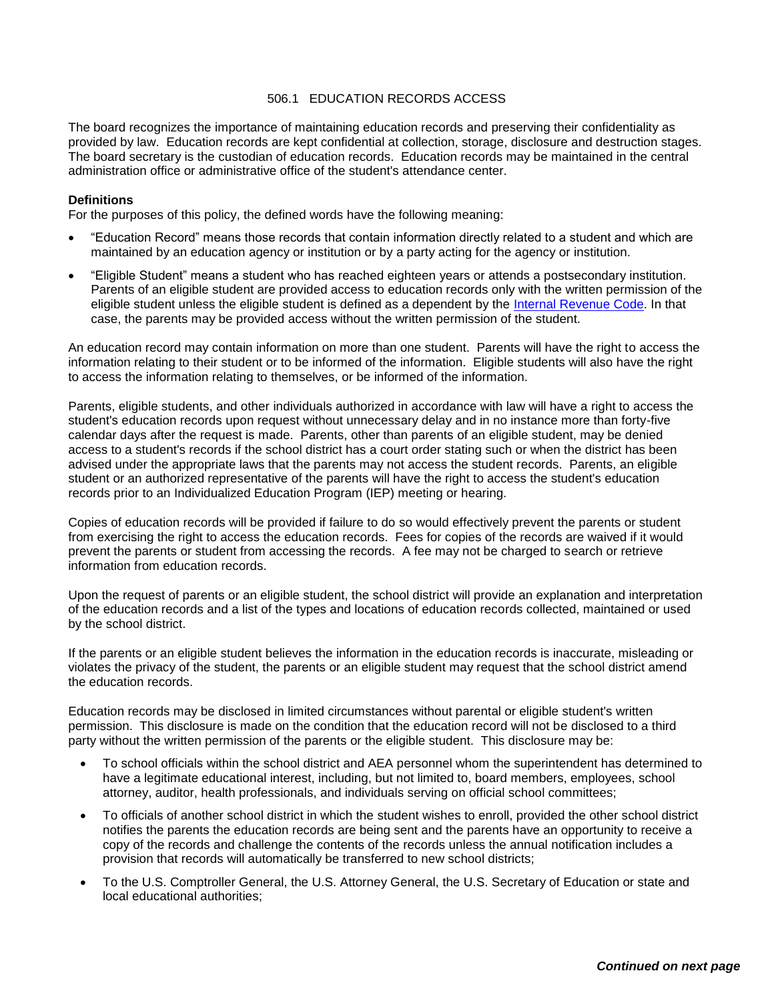## 506.1 EDUCATION RECORDS ACCESS

The board recognizes the importance of maintaining education records and preserving their confidentiality as provided by law. Education records are kept confidential at collection, storage, disclosure and destruction stages. The board secretary is the custodian of education records. Education records may be maintained in the central administration office or administrative office of the student's attendance center.

## **Definitions**

For the purposes of this policy, the defined words have the following meaning:

- "Education Record" means those records that contain information directly related to a student and which are maintained by an education agency or institution or by a party acting for the agency or institution.
- "Eligible Student" means a student who has reached eighteen years or attends a postsecondary institution. Parents of an eligible student are provided access to education records only with the written permission of the eligible student unless the eligible student is defined as a dependent by the [Internal Revenue Code.](http://www.irs.gov/) In that case, the parents may be provided access without the written permission of the student.

An education record may contain information on more than one student. Parents will have the right to access the information relating to their student or to be informed of the information. Eligible students will also have the right to access the information relating to themselves, or be informed of the information.

Parents, eligible students, and other individuals authorized in accordance with law will have a right to access the student's education records upon request without unnecessary delay and in no instance more than forty-five calendar days after the request is made. Parents, other than parents of an eligible student, may be denied access to a student's records if the school district has a court order stating such or when the district has been advised under the appropriate laws that the parents may not access the student records. Parents, an eligible student or an authorized representative of the parents will have the right to access the student's education records prior to an Individualized Education Program (IEP) meeting or hearing.

Copies of education records will be provided if failure to do so would effectively prevent the parents or student from exercising the right to access the education records. Fees for copies of the records are waived if it would prevent the parents or student from accessing the records. A fee may not be charged to search or retrieve information from education records.

Upon the request of parents or an eligible student, the school district will provide an explanation and interpretation of the education records and a list of the types and locations of education records collected, maintained or used by the school district.

If the parents or an eligible student believes the information in the education records is inaccurate, misleading or violates the privacy of the student, the parents or an eligible student may request that the school district amend the education records.

Education records may be disclosed in limited circumstances without parental or eligible student's written permission. This disclosure is made on the condition that the education record will not be disclosed to a third party without the written permission of the parents or the eligible student. This disclosure may be:

- To school officials within the school district and AEA personnel whom the superintendent has determined to have a legitimate educational interest, including, but not limited to, board members, employees, school attorney, auditor, health professionals, and individuals serving on official school committees;
- To officials of another school district in which the student wishes to enroll, provided the other school district notifies the parents the education records are being sent and the parents have an opportunity to receive a copy of the records and challenge the contents of the records unless the annual notification includes a provision that records will automatically be transferred to new school districts;
- To the U.S. Comptroller General, the U.S. Attorney General, the U.S. Secretary of Education or state and local educational authorities;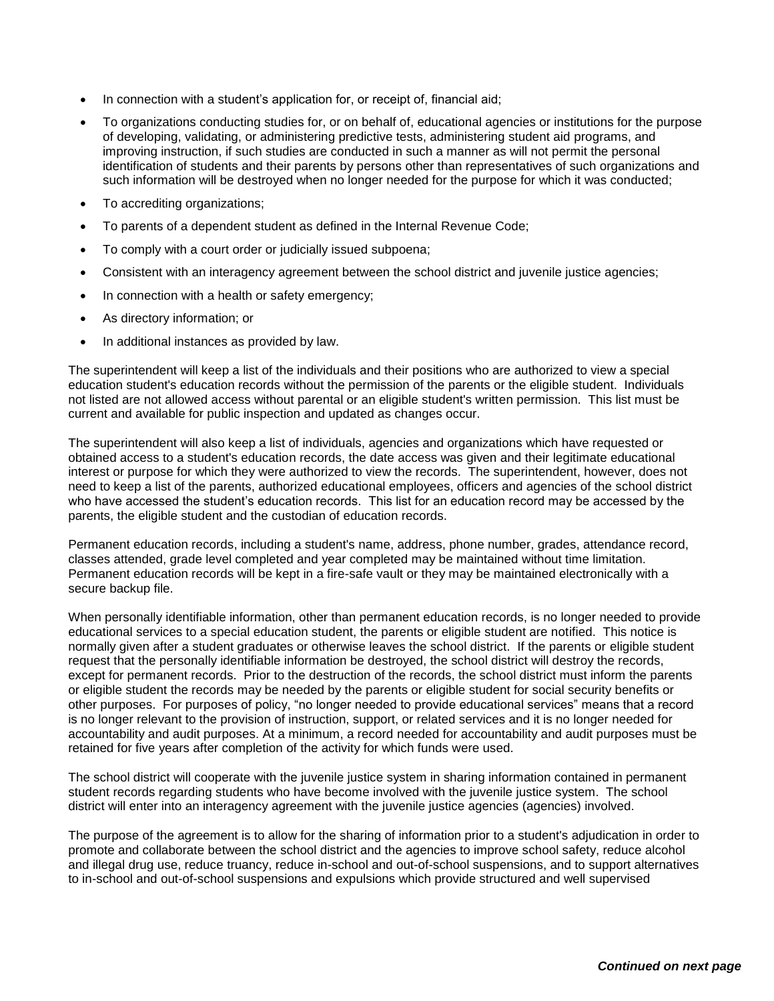- In connection with a student's application for, or receipt of, financial aid;
- To organizations conducting studies for, or on behalf of, educational agencies or institutions for the purpose of developing, validating, or administering predictive tests, administering student aid programs, and improving instruction, if such studies are conducted in such a manner as will not permit the personal identification of students and their parents by persons other than representatives of such organizations and such information will be destroyed when no longer needed for the purpose for which it was conducted;
- To accrediting organizations;
- To parents of a dependent student as defined in the Internal Revenue Code;
- To comply with a court order or judicially issued subpoena;
- Consistent with an interagency agreement between the school district and juvenile justice agencies;
- In connection with a health or safety emergency;
- As directory information; or
- In additional instances as provided by law.

The superintendent will keep a list of the individuals and their positions who are authorized to view a special education student's education records without the permission of the parents or the eligible student. Individuals not listed are not allowed access without parental or an eligible student's written permission. This list must be current and available for public inspection and updated as changes occur.

The superintendent will also keep a list of individuals, agencies and organizations which have requested or obtained access to a student's education records, the date access was given and their legitimate educational interest or purpose for which they were authorized to view the records. The superintendent, however, does not need to keep a list of the parents, authorized educational employees, officers and agencies of the school district who have accessed the student's education records. This list for an education record may be accessed by the parents, the eligible student and the custodian of education records.

Permanent education records, including a student's name, address, phone number, grades, attendance record, classes attended, grade level completed and year completed may be maintained without time limitation. Permanent education records will be kept in a fire-safe vault or they may be maintained electronically with a secure backup file.

When personally identifiable information, other than permanent education records, is no longer needed to provide educational services to a special education student, the parents or eligible student are notified. This notice is normally given after a student graduates or otherwise leaves the school district. If the parents or eligible student request that the personally identifiable information be destroyed, the school district will destroy the records, except for permanent records. Prior to the destruction of the records, the school district must inform the parents or eligible student the records may be needed by the parents or eligible student for social security benefits or other purposes. For purposes of policy, "no longer needed to provide educational services" means that a record is no longer relevant to the provision of instruction, support, or related services and it is no longer needed for accountability and audit purposes. At a minimum, a record needed for accountability and audit purposes must be retained for five years after completion of the activity for which funds were used.

The school district will cooperate with the juvenile justice system in sharing information contained in permanent student records regarding students who have become involved with the juvenile justice system. The school district will enter into an interagency agreement with the juvenile justice agencies (agencies) involved.

The purpose of the agreement is to allow for the sharing of information prior to a student's adjudication in order to promote and collaborate between the school district and the agencies to improve school safety, reduce alcohol and illegal drug use, reduce truancy, reduce in-school and out-of-school suspensions, and to support alternatives to in-school and out-of-school suspensions and expulsions which provide structured and well supervised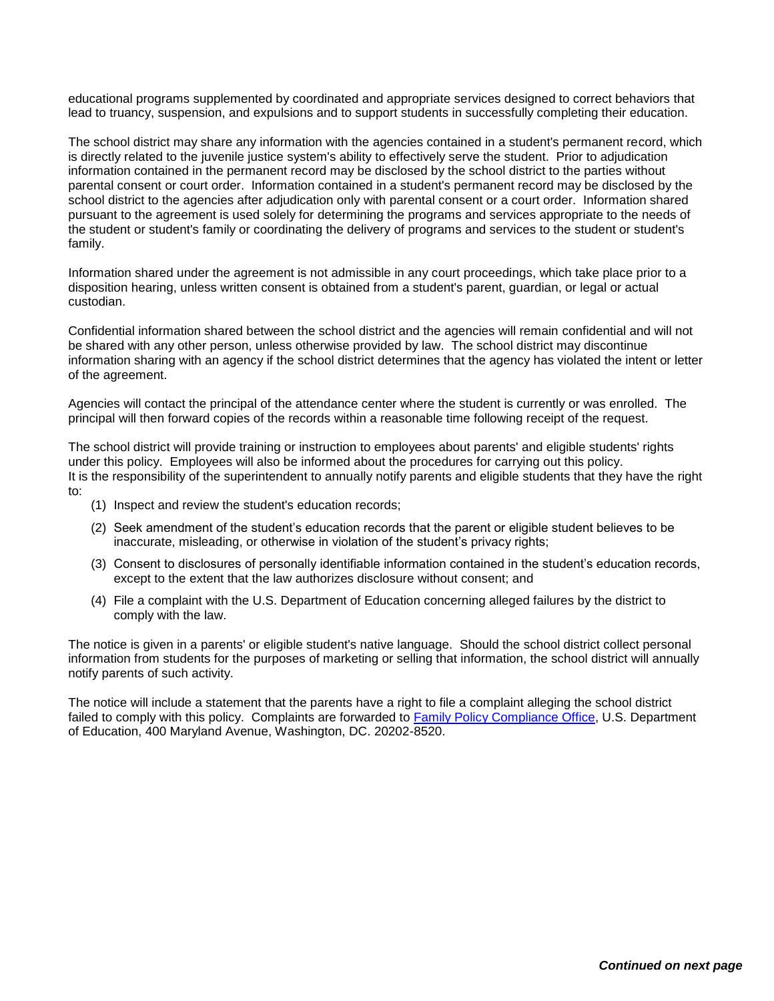educational programs supplemented by coordinated and appropriate services designed to correct behaviors that lead to truancy, suspension, and expulsions and to support students in successfully completing their education.

The school district may share any information with the agencies contained in a student's permanent record, which is directly related to the juvenile justice system's ability to effectively serve the student. Prior to adjudication information contained in the permanent record may be disclosed by the school district to the parties without parental consent or court order. Information contained in a student's permanent record may be disclosed by the school district to the agencies after adjudication only with parental consent or a court order. Information shared pursuant to the agreement is used solely for determining the programs and services appropriate to the needs of the student or student's family or coordinating the delivery of programs and services to the student or student's family.

Information shared under the agreement is not admissible in any court proceedings, which take place prior to a disposition hearing, unless written consent is obtained from a student's parent, guardian, or legal or actual custodian.

Confidential information shared between the school district and the agencies will remain confidential and will not be shared with any other person, unless otherwise provided by law. The school district may discontinue information sharing with an agency if the school district determines that the agency has violated the intent or letter of the agreement.

Agencies will contact the principal of the attendance center where the student is currently or was enrolled. The principal will then forward copies of the records within a reasonable time following receipt of the request.

The school district will provide training or instruction to employees about parents' and eligible students' rights under this policy. Employees will also be informed about the procedures for carrying out this policy. It is the responsibility of the superintendent to annually notify parents and eligible students that they have the right to:

- (1) Inspect and review the student's education records;
- (2) Seek amendment of the student's education records that the parent or eligible student believes to be inaccurate, misleading, or otherwise in violation of the student's privacy rights;
- (3) Consent to disclosures of personally identifiable information contained in the student's education records, except to the extent that the law authorizes disclosure without consent; and
- (4) File a complaint with the U.S. Department of Education concerning alleged failures by the district to comply with the law.

The notice is given in a parents' or eligible student's native language. Should the school district collect personal information from students for the purposes of marketing or selling that information, the school district will annually notify parents of such activity.

The notice will include a statement that the parents have a right to file a complaint alleging the school district failed to comply with this policy. Complaints are forwarded to [Family Policy Compliance Office,](http://www2.ed.gov/policy/gen/guid/fpco/index.html) U.S. Department of Education, 400 Maryland Avenue, Washington, DC. 20202-8520.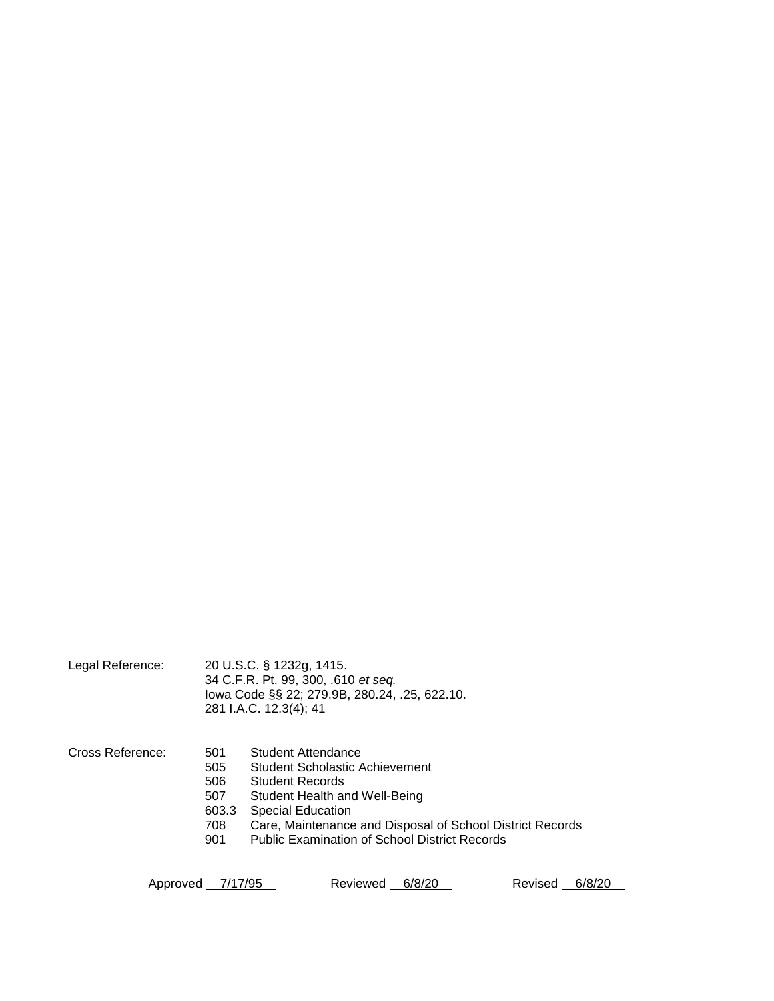Legal Reference: 20 U.S.C. § 1232g, 1415. 34 C.F.R. Pt. 99, 300, .610 *et seq.* Iowa Code §§ 22; 279.9B, 280.24, .25, 622.10. 281 I.A.C. 12.3(4); 41

Cross Reference: 501 Student Attendance 505 Student Scholastic Achievement 506 Student Records

- 507 Student Health and Well-Being
- 603.3 Special Education
- 708 Care, Maintenance and Disposal of School District Records
- 901 Public Examination of School District Records

Approved 7/17/95 Reviewed 6/8/20 Revised 6/8/20